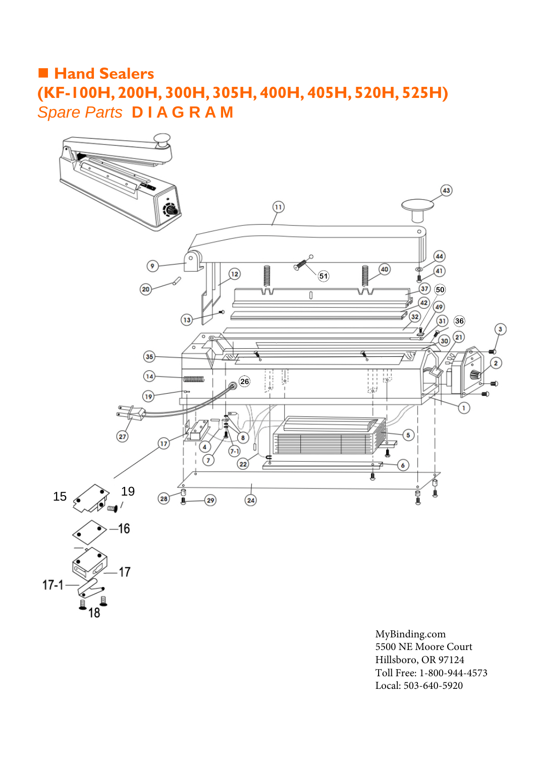## **Hand Sealers (KF-100H, [200H,](http://www.mybinding.com/sealersales-kf-series-8-hand-impulse-sealers.html?sku=KF-200H) [300H,](http://www.mybinding.com/sealersales-kf-series-12-hand-impulse-sealers.html?sku=KF-300H) [305H](http://www.mybinding.com/sealersales-kf-series-12-hand-impulse-sealers.html?sku=KF-305H)[, 400H,](https://www.mybinding.com/sealersales-kf-400h-16-hand-impulse-sealer-w-2-6mm-seal-width.html) 405H[, 520H,](http://www.mybinding.com/sealersales-kf-series-20-hand-impulse-sealers.html?sku=KF-520H) [525H\)](http://www.mybinding.com/sealersales-kf-series-20-hand-impulse-sealers.html?sku=KF-525H)** *Spare Parts* **D I A G R A M**



[MyBinding.com](http://www.mybinding.com) 5500 NE Moore Court Hillsboro, OR 97124 Toll Free: 1-800-944-4573 Local: 503-640-5920